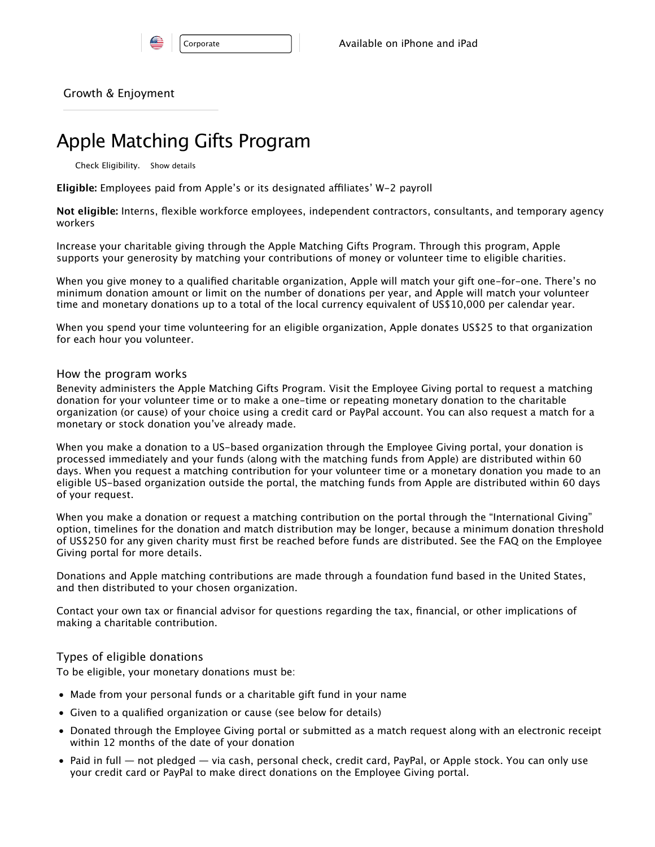|  | Lorr |
|--|------|
|  |      |

Growth & Enjoyment

# Apple Matching Gifts Program

Check Eligibility. Show details

**Eligible:** Employees paid from Apple's or its designated afliates' W-2 payroll

**Not eligible:** Interns, flexible workforce employees, independent contractors, consultants, and temporary agency workers

Increase your charitable giving through the Apple Matching Gifts Program. Through this program, Apple supports your generosity by matching your contributions of money or volunteer time to eligible charities.

When you give money to a qualified charitable organization, Apple will match your gift one-for-one. There's no minimum donation amount or limit on the number of donations per year, and Apple will match your volunteer time and monetary donations up to a total of the local currency equivalent of US\$10,000 per calendar year.

When you spend your time volunteering for an eligible organization, Apple donates US\$25 to that organization for each hour you volunteer.

## How the program works

Benevity administers the Apple Matching Gifts Program. Visit the Employee Giving portal to request a matching donation for your volunteer time or to make a one-time or repeating monetary donation to the charitable organization (or cause) of your choice using a credit card or PayPal account. You can also request a match for a monetary or stock donation you've already made.

When you make a donation to a US-based organization through the Employee Giving portal, your donation is processed immediately and your funds (along with the matching funds from Apple) are distributed within 60 days. When you request a matching contribution for your volunteer time or a monetary donation you made to an eligible US-based organization outside the portal, the matching funds from Apple are distributed within 60 days of your request.

When you make a donation or request a matching contribution on the portal through the "International Giving" option, timelines for the donation and match distribution may be longer, because a minimum donation threshold of US\$250 for any given charity must first be reached before funds are distributed. See the FAQ on the Employee Giving portal for more details.

Donations and Apple matching contributions are made through a foundation fund based in the United States, and then distributed to your chosen organization.

Contact your own tax or financial advisor for questions regarding the tax, financial, or other implications of making a charitable contribution.

# Types of eligible donations

To be eligible, your monetary donations must be:

- Made from your personal funds or a charitable gift fund in your name
- Given to a qualified organization or cause (see below for details)
- Donated through the Employee Giving portal or submitted as a match request along with an electronic receipt within 12 months of the date of your donation
- Paid in full not pledged via cash, personal check, credit card, PayPal, or Apple stock. You can only use your credit card or PayPal to make direct donations on the Employee Giving portal.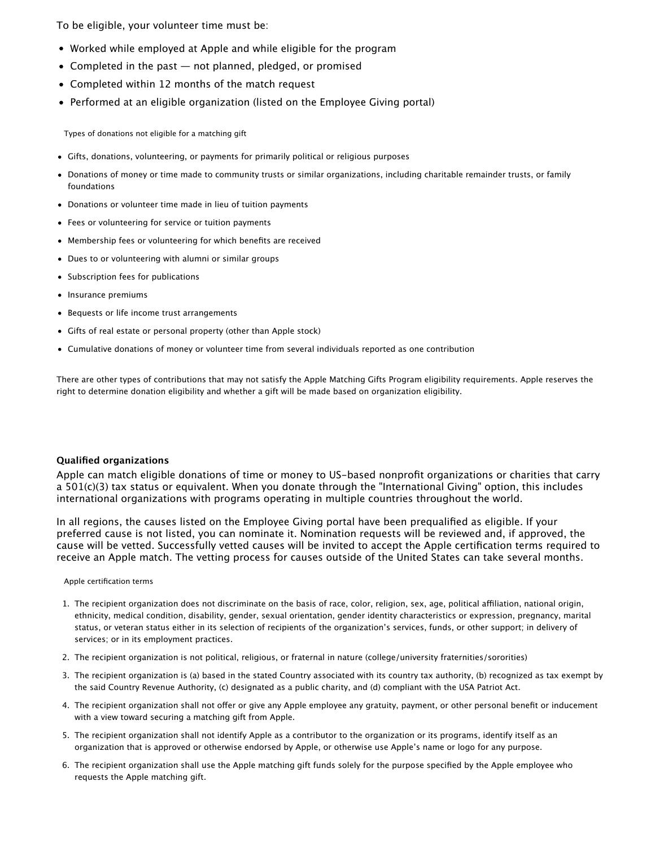To be eligible, your volunteer time must be:

- Worked while employed at Apple and while eligible for the program
- Completed in the past  $-$  not planned, pledged, or promised
- Completed within 12 months of the match request
- Performed at an eligible organization (listed on the Employee Giving portal)

Types of donations not eligible for a matching gift

- Gifts, donations, volunteering, or payments for primarily political or religious purposes
- Donations of money or time made to community trusts or similar organizations, including charitable remainder trusts, or family foundations
- Donations or volunteer time made in lieu of tuition payments
- Fees or volunteering for service or tuition payments
- Membership fees or volunteering for which benefits are received
- Dues to or volunteering with alumni or similar groups
- Subscription fees for publications
- Insurance premiums
- Bequests or life income trust arrangements
- Gifts of real estate or personal property (other than Apple stock)
- Cumulative donations of money or volunteer time from several individuals reported as one contribution

There are other types of contributions that may not satisfy the Apple Matching Gifts Program eligibility requirements. Apple reserves the right to determine donation eligibility and whether a gift will be made based on organization eligibility.

#### **Qualified organizations**

Apple can match eligible donations of time or money to US-based nonprofit organizations or charities that carry a 501(c)(3) tax status or equivalent. When you donate through the "International Giving" option, this includes international organizations with programs operating in multiple countries throughout the world.

In all regions, the causes listed on the Employee Giving portal have been prequalified as eligible. If your preferred cause is not listed, you can nominate it. Nomination requests will be reviewed and, if approved, the cause will be vetted. Successfully vetted causes will be invited to accept the Apple certification terms required to receive an Apple match. The vetting process for causes outside of the United States can take several months.

Apple certification terms

- 1. The recipient organization does not discriminate on the basis of race, color, religion, sex, age, political afliation, national origin, ethnicity, medical condition, disability, gender, sexual orientation, gender identity characteristics or expression, pregnancy, marital status, or veteran status either in its selection of recipients of the organization's services, funds, or other support; in delivery of services; or in its employment practices.
- 2. The recipient organization is not political, religious, or fraternal in nature (college/university fraternities/sororities)
- 3. The recipient organization is (a) based in the stated Country associated with its country tax authority, (b) recognized as tax exempt by the said Country Revenue Authority, (c) designated as a public charity, and (d) compliant with the USA Patriot Act.
- 4. The recipient organization shall not ofer or give any Apple employee any gratuity, payment, or other personal benefit or inducement with a view toward securing a matching gift from Apple.
- 5. The recipient organization shall not identify Apple as a contributor to the organization or its programs, identify itself as an organization that is approved or otherwise endorsed by Apple, or otherwise use Apple's name or logo for any purpose.
- 6. The recipient organization shall use the Apple matching gift funds solely for the purpose specified by the Apple employee who requests the Apple matching gift.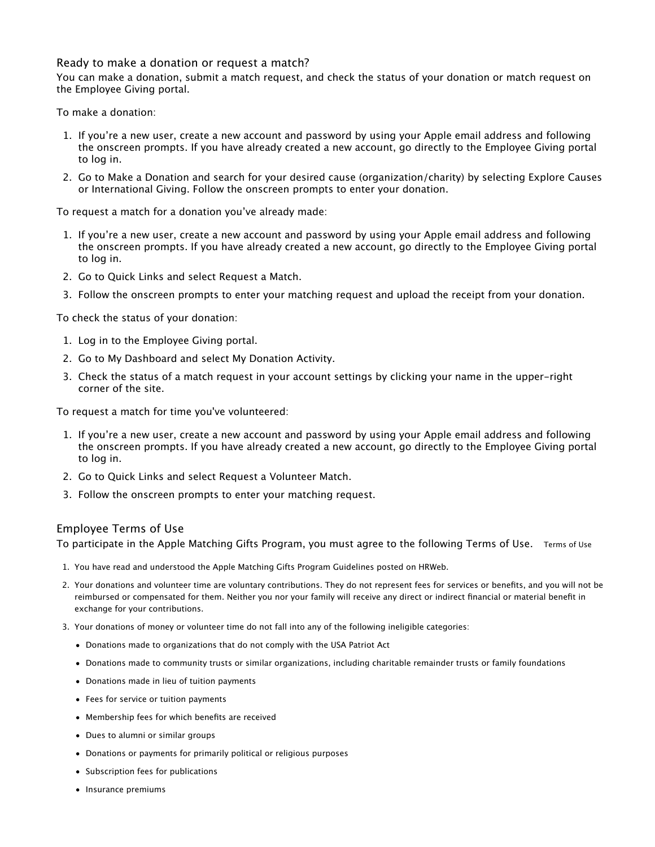## Ready to make a donation or request a match?

You can make a donation, submit a match request, and check the status of your donation or match request on the Employee Giving portal.

To make a donation:

- 1. If you're a new user, create a new account and password by using your Apple email address and following the onscreen prompts. If you have already created a new account, go directly to the Employee Giving portal to log in.
- 2. Go to Make a Donation and search for your desired cause (organization/charity) by selecting Explore Causes or International Giving. Follow the onscreen prompts to enter your donation.

To request a match for a donation you've already made:

- 1. If you're a new user, create a new account and password by using your Apple email address and following the onscreen prompts. If you have already created a new account, go directly to the Employee Giving portal to log in.
- 2. Go to Quick Links and select Request a Match.
- 3. Follow the onscreen prompts to enter your matching request and upload the receipt from your donation.

To check the status of your donation:

- 1. Log in to the Employee Giving portal.
- 2. Go to My Dashboard and select My Donation Activity.
- 3. Check the status of a match request in your account settings by clicking your name in the upper-right corner of the site.

To request a match for time you've volunteered:

- 1. If you're a new user, create a new account and password by using your Apple email address and following the onscreen prompts. If you have already created a new account, go directly to the Employee Giving portal to log in.
- 2. Go to Quick Links and select Request a Volunteer Match.
- 3. Follow the onscreen prompts to enter your matching request.

# Employee Terms of Use

To participate in the Apple Matching Gifts Program, you must agree to the following Terms of Use. Terms of Use

- 1. You have read and understood the Apple Matching Gifts Program Guidelines posted on HRWeb.
- 2. Your donations and volunteer time are voluntary contributions. They do not represent fees for services or benefits, and you will not be reimbursed or compensated for them. Neither you nor your family will receive any direct or indirect financial or material benefit in exchange for your contributions.
- 3. Your donations of money or volunteer time do not fall into any of the following ineligible categories:
	- Donations made to organizations that do not comply with the USA Patriot Act
	- Donations made to community trusts or similar organizations, including charitable remainder trusts or family foundations
	- Donations made in lieu of tuition payments
	- Fees for service or tuition payments
	- Membership fees for which benefits are received
	- Dues to alumni or similar groups
	- Donations or payments for primarily political or religious purposes
	- Subscription fees for publications
	- Insurance premiums